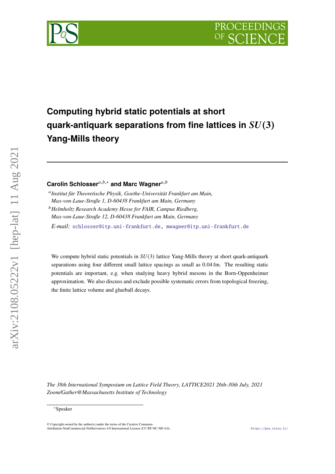



# **Computing hybrid static potentials at short quark-antiquark separations from fine lattices in**  $SU(3)$ **Yang-Mills theory**

Carolin Schlosser<sup>*a,b,*∗</sup> and Marc Wagner<sup>*a,b*</sup>

 *Institut für Theoretische Physik, Goethe-Universität Frankfurt am Main, Max-von-Laue-Straße 1, D-60438 Frankfurt am Main, Germany*

*Helmholtz Research Academy Hesse for FAIR, Campus Riedberg, Max-von-Laue-Straße 12, D-60438 Frankfurt am Main, Germany*

*E-mail:* [schlosser@itp.uni-frankfurt.de,](mailto:schlosser@itp.uni-frankfurt.de) [mwagner@itp.uni-frankfurt.de](mailto:mwagner@itp.uni-frankfurt.de)

We compute hybrid static potentials in  $SU(3)$  lattice Yang-Mills theory at short quark-antiquark separations using four different small lattice spacings as small as 0.04 fm. The resulting static potentials are important, e.g. when studying heavy hybrid mesons in the Born-Oppenheimer approximation. We also discuss and exclude possible systematic errors from topological freezing, the finite lattice volume and glueball decays.

*The 38th International Symposium on Lattice Field Theory, LATTICE2021 26th-30th July, 2021 Zoom/Gather@Massachusetts Institute of Technology*

arXiv:2108.05222v1 [hep-lat] 11 Aug 2021

 $arXiv:2108.05222v1$  [hep-lat] 11 Aug 2021

<sup>∗</sup>Speaker

 $\odot$  Copyright owned by the author(s) under the terms of the Creative Common Attribution-NonCommercial-NoDerivatives 4.0 International License (CC BY-NC-ND 4.0). <https://pos.sissa.it/>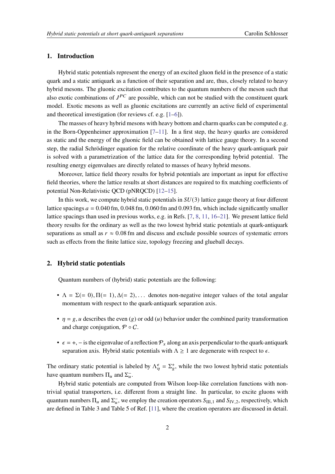## **1. Introduction**

Hybrid static potentials represent the energy of an excited gluon field in the presence of a static quark and a static antiquark as a function of their separation and are, thus, closely related to heavy hybrid mesons. The gluonic excitation contributes to the quantum numbers of the meson such that also exotic combinations of  $J^{PC}$  are possible, which can not be studied with the constituent quark model. Exotic mesons as well as gluonic excitations are currently an active field of experimental and theoretical investigation (for reviews cf. e.g. [\[1–](#page-5-0)[6\]](#page-5-1)).

The masses of heavy hybrid mesons with heavy bottom and charm quarks can be computed e.g. in the Born-Oppenheimer approximation  $[7-11]$  $[7-11]$ . In a first step, the heavy quarks are considered as static and the energy of the gluonic field can be obtained with lattice gauge theory. In a second step, the radial Schrödinger equation for the relative coordinate of the heavy quark-antiquark pair is solved with a parametrization of the lattice data for the corresponding hybrid potential. The resulting energy eigenvalues are directly related to masses of heavy hybrid mesons.

Moreover, lattice field theory results for hybrid potentials are important as input for effective field theories, where the lattice results at short distances are required to fix matching coefficients of potential Non-Relativistic QCD (pNRQCD) [\[12](#page-6-0)[–15\]](#page-6-1).

In this work, we compute hybrid static potentials in  $SU(3)$  lattice gauge theory at four different lattice spacings  $a = 0.040$  fm,  $0.048$  fm,  $0.060$  fm and  $0.093$  fm, which include significantly smaller lattice spacings than used in previous works, e.g. in Refs. [\[7,](#page-5-2) [8,](#page-5-4) [11,](#page-5-3) [16–](#page-6-2)[21\]](#page-6-3). We present lattice field theory results for the ordinary as well as the two lowest hybrid static potentials at quark-antiquark separations as small as  $r \approx 0.08$  fm and discuss and exclude possible sources of systematic errors such as effects from the finite lattice size, topology freezing and glueball decays.

## **2. Hybrid static potentials**

Quantum numbers of (hybrid) static potentials are the following:

- $\Lambda = \Sigma (= 0), \Pi (= 1), \Delta (= 2), \dots$  denotes non-negative integer values of the total angular momentum with respect to the quark-antiquark separation axis.
- $\eta = g, u$  describes the even (g) or odd (u) behavior under the combined parity transformation and charge conjugation,  $\mathcal{P} \circ \mathcal{C}$ .
- $\epsilon = +, -$  is the eigenvalue of a reflection  $\mathcal{P}_x$  along an axis perpendicular to the quark-antiquark separation axis. Hybrid static potentials with  $\Lambda \geq 1$  are degenerate with respect to  $\epsilon$ .

The ordinary static potential is labeled by  $\Lambda_n^{\epsilon} = \Sigma_{\epsilon}^{+}$ , while the two lowest hybrid static potentials have quantum numbers  $\Pi_u$  and  $\Sigma_u^-$ .

Hybrid static potentials are computed from Wilson loop-like correlation functions with nontrivial spatial transporters, i.e. different from a straight line. In particular, to excite gluons with quantum numbers  $\Pi_u$  and  $\Sigma_u^-$ , we employ the creation operators  $S_{\text{III},1}$  and  $S_{\text{IV},2}$ , respectively, which are defined in Table 3 and Table 5 of Ref. [\[11\]](#page-5-3), where the creation operators are discussed in detail.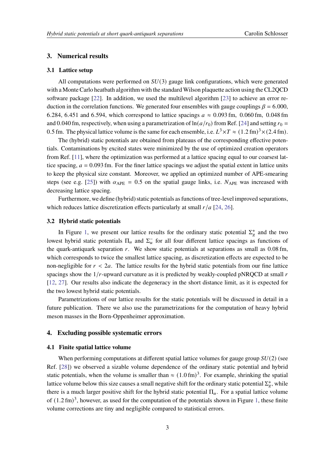## **3. Numerical results**

## **3.1 Lattice setup**

All computations were performed on  $SU(3)$  gauge link configurations, which were generated with a Monte Carlo heatbath algorithm with the standard Wilson plaquette action using the CL2QCD software package [\[22\]](#page-6-4). In addition, we used the multilevel algorithm [\[23\]](#page-6-5) to achieve an error reduction in the correlation functions. We generated four ensembles with gauge couplings  $\beta = 6.000$ , 6.284, 6.451 and 6.594, which correspond to lattice spacings  $a \approx 0.093$  fm, 0.060 fm, 0.048 fm and 0.040 fm, respectively, when using a parametrization of  $\ln(a/r_0)$  from Ref. [\[24\]](#page-6-6) and setting  $r_0 =$ 0.5 fm. The physical lattice volume is the same for each ensemble, i.e.  $L^3 \times T \approx (1.2 \text{ fm})^3 \times (2.4 \text{ fm})$ .

The (hybrid) static potentials are obtained from plateaus of the corresponding effective potentials. Contaminations by excited states were minimized by the use of optimized creation operators from Ref. [\[11\]](#page-5-3), where the optimization was performed at a lattice spacing equal to our coarsest lattice spacing,  $a = 0.093$  fm. For the finer lattice spacings we adjust the spatial extent in lattice units to keep the physical size constant. Moreover, we applied an optimized number of APE-smearing steps (see e.g. [\[25\]](#page-6-7)) with  $\alpha_{\text{APE}} = 0.5$  on the spatial gauge links, i.e.  $N_{\text{APE}}$  was increased with decreasing lattice spacing.

Furthermore, we define (hybrid) static potentials as functions of tree-level improved separations, which reduces lattice discretization effects particularly at small  $r/a$  [\[24,](#page-6-6) [26\]](#page-6-8).

## **3.2 Hybrid static potentials**

In Figure [1,](#page-3-0) we present our lattice results for the ordinary static potential  $\Sigma_g^+$  and the two lowest hybrid static potentials  $\Pi_u$  and  $\Sigma_u^-$  for all four different lattice spacings as functions of the quark-antiquark separation  $r$ . We show static potentials at separations as small as  $0.08$  fm, which corresponds to twice the smallest lattice spacing, as discretization effects are expected to be non-negligible for  $r < 2a$ . The lattice results for the hybrid static potentials from our fine lattice spacings show the  $1/r$ -upward curvature as it is predicted by weakly-coupled pNRQCD at small  $r$ [\[12,](#page-6-0) [27\]](#page-6-9). Our results also indicate the degeneracy in the short distance limit, as it is expected for the two lowest hybrid static potentials.

Parametrizations of our lattice results for the static potentials will be discussed in detail in a future publication. There we also use the parametrizations for the computation of heavy hybrid meson masses in the Born-Oppenheimer approximation.

#### **4. Excluding possible systematic errors**

## <span id="page-2-0"></span>**4.1 Finite spatial lattice volume**

When performing computations at different spatial lattice volumes for gauge group  $SU(2)$  (see Ref. [\[28\]](#page-7-0)) we observed a sizable volume dependence of the ordinary static potential and hybrid static potentials, when the volume is smaller than  $\approx (1.0 \text{ fm})^3$ . For example, shrinking the spatial lattice volume below this size causes a small negative shift for the ordinary static potential  $\Sigma_g^+$ , while there is a much larger positive shift for the hybrid static potential  $\Pi_u$ . For a spatial lattice volume of  $(1.2 \text{ fm})^3$ , however, as used for the computation of the potentials shown in Figure [1,](#page-3-0) these finite volume corrections are tiny and negligible compared to statistical errors.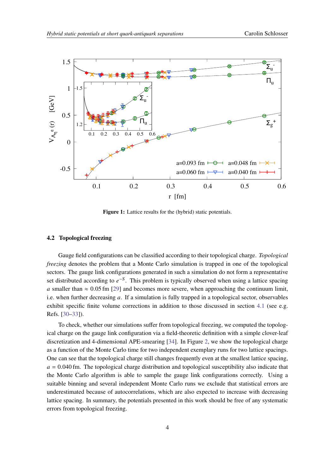<span id="page-3-0"></span>

**Figure 1:** Lattice results for the (hybrid) static potentials.

#### **4.2 Topological freezing**

Gauge field configurations can be classified according to their topological charge. *Topological freezing* denotes the problem that a Monte Carlo simulation is trapped in one of the topological sectors. The gauge link configurations generated in such a simulation do not form a representative set distributed according to  $e^{-S}$ . This problem is typically observed when using a lattice spacing a smaller than  $\approx 0.05$  fm [\[29\]](#page-7-1) and becomes more severe, when approaching the continuum limit, i.e. when further decreasing  $a$ . If a simulation is fully trapped in a topological sector, observables exhibit specific finite volume corrections in addition to those discussed in section [4.1](#page-2-0) (see e.g. Refs. [\[30](#page-7-2)[–33\]](#page-7-3)).

To check, whether our simulations suffer from topological freezing, we computed the topological charge on the gauge link configuration via a field-theoretic definition with a simple clover-leaf discretization and 4-dimensional APE-smearing [\[34\]](#page-7-4). In Figure [2,](#page-4-0) we show the topological charge as a function of the Monte Carlo time for two independent exemplary runs for two lattice spacings. One can see that the topological charge still changes frequently even at the smallest lattice spacing,  $a = 0.040$  fm. The topological charge distribution and topological susceptibility also indicate that the Monte Carlo algorithm is able to sample the gauge link configurations correctly. Using a suitable binning and several independent Monte Carlo runs we exclude that statistical errors are underestimated because of autocorrelations, which are also expected to increase with decreasing lattice spacing. In summary, the potentials presented in this work should be free of any systematic errors from topological freezing.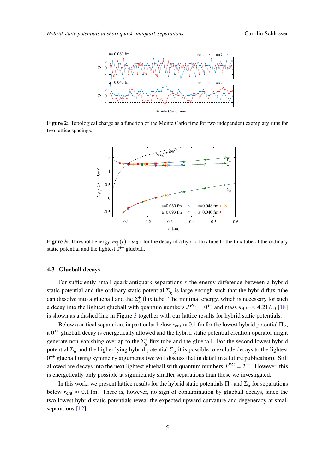<span id="page-4-0"></span>

<span id="page-4-1"></span>**Figure 2:** Topological charge as a function of the Monte Carlo time for two independent exemplary runs for two lattice spacings.



**Figure 3:** Threshold energy  $V_{\Sigma_{\epsilon}^{+}}(r) + m_{0^{++}}$  for the decay of a hybrid flux tube to the flux tube of the ordinary static potential and the lightest  $0^{++}$  glueball.

#### **4.3 Glueball decays**

For sufficiently small quark-antiquark separations  $r$  the energy difference between a hybrid static potential and the ordinary static potential  $\Sigma_{g}^{+}$  is large enough such that the hybrid flux tube can dissolve into a glueball and the  $\Sigma_g^+$  flux tube. The minimal energy, which is necessary for such a decay into the lightest glueball with quantum numbers  $J^{PC} = 0^{++}$  and mass  $m_{0^{++}} \approx 4.21/r_0$  [\[18\]](#page-6-10) is shown as a dashed line in Figure [3](#page-4-1) together with our lattice results for hybrid static potentials.

Below a critical separation, in particular below  $r_{\text{crit}} \approx 0.1$  fm for the lowest hybrid potential  $\Pi_u$ , a 0<sup>++</sup> glueball decay is energetically allowed and the hybrid static potential creation operator might generate non-vanishing overlap to the  $\Sigma_g^+$  flux tube and the glueball. For the second lowest hybrid potential  $\Sigma_u^-$  and the higher lying hybrid potential  $\Sigma_g^-$  it is possible to exclude decays to the lightest  $0^{++}$  glueball using symmetry arguments (we will discuss that in detail in a future publication). Still allowed are decays into the next lightest glueball with quantum numbers  $J^{PC} = 2^{++}$ . However, this is energetically only possible at significantly smaller separations than those we investigated.

In this work, we present lattice results for the hybrid static potentials  $\Pi_u$  and  $\Sigma_u^-$  for separations below  $r_{\text{crit}} \approx 0.1$  fm. There is, however, no sign of contamination by glueball decays, since the two lowest hybrid static potentials reveal the expected upward curvature and degeneracy at small separations [\[12\]](#page-6-0).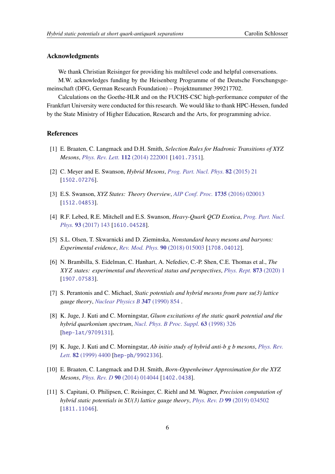## **Acknowledgments**

We thank Christian Reisinger for providing his multilevel code and helpful conversations.

M.W. acknowledges funding by the Heisenberg Programme of the Deutsche Forschungsgemeinschaft (DFG, German Research Foundation) – Projektnummer 399217702.

Calculations on the Goethe-HLR and on the FUCHS-CSC high-performance computer of the Frankfurt University were conducted for this research. We would like to thank HPC-Hessen, funded by the State Ministry of Higher Education, Research and the Arts, for programming advice.

## **References**

- <span id="page-5-0"></span>[1] E. Braaten, C. Langmack and D.H. Smith, *Selection Rules for Hadronic Transitions of XYZ Mesons*, *[Phys. Rev. Lett.](https://doi.org/10.1103/PhysRevLett.112.222001)* **112** (2014) 222001 [[1401.7351](https://arxiv.org/abs/1401.7351)].
- [2] C. Meyer and E. Swanson, *Hybrid Mesons*, *[Prog. Part. Nucl. Phys.](https://doi.org/10.1016/j.ppnp.2015.03.001)* **82** (2015) 21 [[1502.07276](https://arxiv.org/abs/1502.07276)].
- [3] E.S. Swanson, *XYZ States: Theory Overview*, *[AIP Conf. Proc.](https://doi.org/10.1063/1.4949381)* **1735** (2016) 020013 [[1512.04853](https://arxiv.org/abs/1512.04853)].
- [4] R.F. Lebed, R.E. Mitchell and E.S. Swanson, *Heavy-Quark QCD Exotica*, *[Prog. Part. Nucl.](https://doi.org/10.1016/j.ppnp.2016.11.003) Phys.* **93** [\(2017\) 143](https://doi.org/10.1016/j.ppnp.2016.11.003) [[1610.04528](https://arxiv.org/abs/1610.04528)].
- [5] S.L. Olsen, T. Skwarnicki and D. Zieminska, *Nonstandard heavy mesons and baryons: Experimental evidence*, *[Rev. Mod. Phys.](https://doi.org/10.1103/RevModPhys.90.015003)* **90** (2018) 015003 [[1708.04012](https://arxiv.org/abs/1708.04012)].
- <span id="page-5-1"></span>[6] N. Brambilla, S. Eidelman, C. Hanhart, A. Nefediev, C.-P. Shen, C.E. Thomas et al., *The states: experimental and theoretical status and perspectives*, *[Phys. Rept.](https://doi.org/10.1016/j.physrep.2020.05.001)* **873** (2020) 1 [[1907.07583](https://arxiv.org/abs/1907.07583)].
- <span id="page-5-2"></span>[7] S. Perantonis and C. Michael, *Static potentials and hybrid mesons from pure su(3) lattice gauge theory*, *[Nuclear Physics B](https://doi.org/https://doi.org/10.1016/0550-3213(90)90386-R)* **347** (1990) 854 .
- <span id="page-5-4"></span>[8] K. Juge, J. Kuti and C. Morningstar, *Gluon excitations of the static quark potential and the hybrid quarkonium spectrum*, *[Nucl. Phys. B Proc. Suppl.](https://doi.org/10.1016/S0920-5632(97)00759-7)* **63** (1998) 326 [[hep-lat/9709131](https://arxiv.org/abs/hep-lat/9709131)].
- [9] K. Juge, J. Kuti and C. Morningstar, *Ab initio study of hybrid anti-b g b mesons*, *[Phys. Rev.](https://doi.org/10.1103/PhysRevLett.82.4400) Lett.* **82** [\(1999\) 4400](https://doi.org/10.1103/PhysRevLett.82.4400) [[hep-ph/9902336](https://arxiv.org/abs/hep-ph/9902336)].
- [10] E. Braaten, C. Langmack and D.H. Smith, *Born-Oppenheimer Approximation for the XYZ Mesons*, *[Phys. Rev. D](https://doi.org/10.1103/PhysRevD.90.014044)* **90** (2014) 014044 [[1402.0438](https://arxiv.org/abs/1402.0438)].
- <span id="page-5-3"></span>[11] S. Capitani, O. Philipsen, C. Reisinger, C. Riehl and M. Wagner, *Precision computation of hybrid static potentials in SU(3) lattice gauge theory*, *[Phys. Rev. D](https://doi.org/10.1103/PhysRevD.99.034502)* **99** (2019) 034502 [[1811.11046](https://arxiv.org/abs/1811.11046)].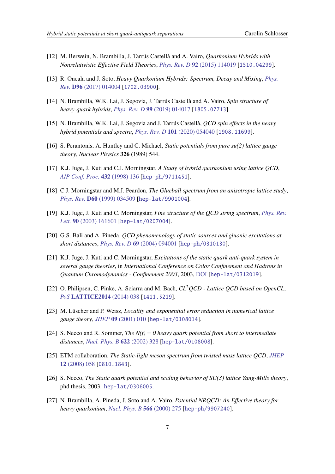- <span id="page-6-0"></span>[12] M. Berwein, N. Brambilla, J. Tarrús Castellà and A. Vairo, *Quarkonium Hybrids with Nonrelativistic Effective Field Theories*, *[Phys. Rev. D](https://doi.org/10.1103/PhysRevD.92.114019)* **92** (2015) 114019 [[1510.04299](https://arxiv.org/abs/1510.04299)].
- [13] R. Oncala and J. Soto, *Heavy Quarkonium Hybrids: Spectrum, Decay and Mixing*, *[Phys.](https://doi.org/10.1103/PhysRevD.96.014004) Rev.* **D96** [\(2017\) 014004](https://doi.org/10.1103/PhysRevD.96.014004) [[1702.03900](https://arxiv.org/abs/1702.03900)].
- [14] N. Brambilla, W.K. Lai, J. Segovia, J. Tarrús Castellà and A. Vairo, *Spin structure of heavy-quark hybrids*, *[Phys. Rev. D](https://doi.org/10.1103/PhysRevD.99.014017)* **99** (2019) 014017 [[1805.07713](https://arxiv.org/abs/1805.07713)].
- <span id="page-6-1"></span>[15] N. Brambilla, W.K. Lai, J. Segovia and J. Tarrús Castellà, *QCD spin effects in the heavy hybrid potentials and spectra*, *[Phys. Rev. D](https://doi.org/10.1103/PhysRevD.101.054040)* **101** (2020) 054040 [[1908.11699](https://arxiv.org/abs/1908.11699)].
- <span id="page-6-2"></span>[16] S. Perantonis, A. Huntley and C. Michael, *Static potentials from pure su(2) lattice gauge theory*, *Nuclear Physics* **326** (1989) 544.
- [17] K.J. Juge, J. Kuti and C.J. Morningstar, *A Study of hybrid quarkonium using lattice QCD*, *[AIP Conf. Proc.](https://doi.org/10.1063/1.56000)* **432** (1998) 136 [[hep-ph/9711451](https://arxiv.org/abs/hep-ph/9711451)].
- <span id="page-6-10"></span>[18] C.J. Morningstar and M.J. Peardon, *The Glueball spectrum from an anisotropic lattice study*, *Phys. Rev.* **D60** [\(1999\) 034509](https://doi.org/10.1103/PhysRevD.60.034509) [[hep-lat/9901004](https://arxiv.org/abs/hep-lat/9901004)].
- [19] K.J. Juge, J. Kuti and C. Morningstar, *Fine structure of the QCD string spectrum*, *[Phys. Rev.](https://doi.org/10.1103/PhysRevLett.90.161601) Lett.* **90** [\(2003\) 161601](https://doi.org/10.1103/PhysRevLett.90.161601) [[hep-lat/0207004](https://arxiv.org/abs/hep-lat/0207004)].
- [20] G.S. Bali and A. Pineda, *QCD phenomenology of static sources and gluonic excitations at short distances*, *[Phys. Rev. D](https://doi.org/10.1103/PhysRevD.69.094001)* **69** (2004) 094001 [[hep-ph/0310130](https://arxiv.org/abs/hep-ph/0310130)].
- <span id="page-6-3"></span>[21] K.J. Juge, J. Kuti and C. Morningstar, *Excitations of the static quark anti-quark system in several gauge theories*, in *International Conference on Color Confinement and Hadrons in Quantum Chromodynamics - Confinement 2003*, 2003, [DOI](https://doi.org/10.1142/9789812702845_0017) [[hep-lat/0312019](https://arxiv.org/abs/hep-lat/0312019)].
- <span id="page-6-4"></span>[22] O. Philipsen, C. Pinke, A. Sciarra and M. Bach, *CL*2*QCD - Lattice QCD based on OpenCL*, *PoS* **[LATTICE2014](https://doi.org/10.22323/1.214.0038)** (2014) 038 [[1411.5219](https://arxiv.org/abs/1411.5219)].
- <span id="page-6-5"></span>[23] M. Lüscher and P. Weisz, *Locality and exponential error reduction in numerical lattice gauge theory*, *JHEP* **09** [\(2001\) 010](https://doi.org/10.1088/1126-6708/2001/09/010) [[hep-lat/0108014](https://arxiv.org/abs/hep-lat/0108014)].
- <span id="page-6-6"></span>[24] S. Necco and R. Sommer, *The N(f) = 0 heavy quark potential from short to intermediate distances*, *[Nucl. Phys. B](https://doi.org/10.1016/S0550-3213(01)00582-X)* **622** (2002) 328 [[hep-lat/0108008](https://arxiv.org/abs/hep-lat/0108008)].
- <span id="page-6-7"></span>[25] ETM collaboration, *The Static-light meson spectrum from twisted mass lattice QCD*, *[JHEP](https://doi.org/10.1088/1126-6708/2008/12/058)* **12** [\(2008\) 058](https://doi.org/10.1088/1126-6708/2008/12/058) [[0810.1843](https://arxiv.org/abs/0810.1843)].
- <span id="page-6-8"></span>[26] S. Necco, *The Static quark potential and scaling behavior of SU(3) lattice Yang-Mills theory*, phd thesis, 2003. [hep-lat/0306005](https://arxiv.org/abs/hep-lat/0306005).
- <span id="page-6-9"></span>[27] N. Brambilla, A. Pineda, J. Soto and A. Vairo, *Potential NRQCD: An Effective theory for heavy quarkonium*, *[Nucl. Phys. B](https://doi.org/10.1016/S0550-3213(99)00693-8)* **566** (2000) 275 [[hep-ph/9907240](https://arxiv.org/abs/hep-ph/9907240)].